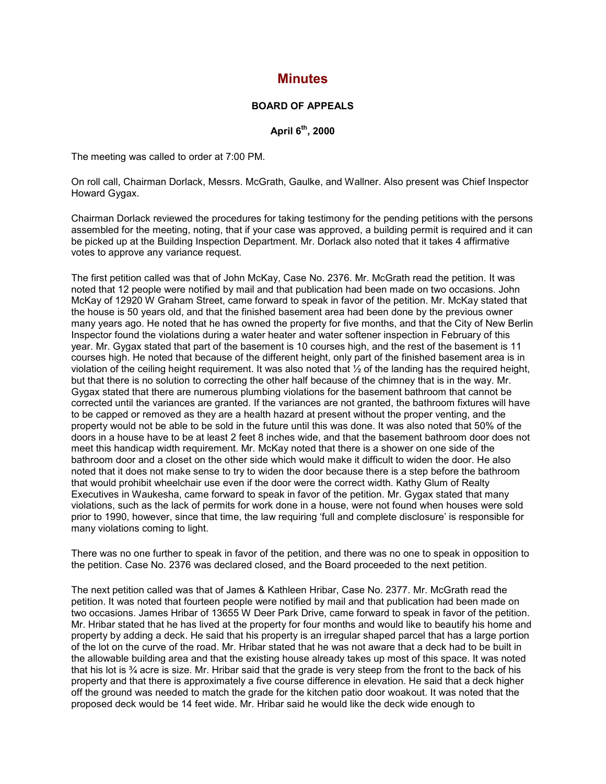## **Minutes**

## **BOARD OF APPEALS**

**April 6th, 2000**

The meeting was called to order at 7:00 PM.

On roll call, Chairman Dorlack, Messrs. McGrath, Gaulke, and Wallner. Also present was Chief Inspector Howard Gygax.

Chairman Dorlack reviewed the procedures for taking testimony for the pending petitions with the persons assembled for the meeting, noting, that if your case was approved, a building permit is required and it can be picked up at the Building Inspection Department. Mr. Dorlack also noted that it takes 4 affirmative votes to approve any variance request.

The first petition called was that of John McKay, Case No. 2376. Mr. McGrath read the petition. It was noted that 12 people were notified by mail and that publication had been made on two occasions. John McKay of 12920 W Graham Street, came forward to speak in favor of the petition. Mr. McKay stated that the house is 50 years old, and that the finished basement area had been done by the previous owner many years ago. He noted that he has owned the property for five months, and that the City of New Berlin Inspector found the violations during a water heater and water softener inspection in February of this year. Mr. Gygax stated that part of the basement is 10 courses high, and the rest of the basement is 11 courses high. He noted that because of the different height, only part of the finished basement area is in violation of the ceiling height requirement. It was also noted that ½ of the landing has the required height, but that there is no solution to correcting the other half because of the chimney that is in the way. Mr. Gygax stated that there are numerous plumbing violations for the basement bathroom that cannot be corrected until the variances are granted. If the variances are not granted, the bathroom fixtures will have to be capped or removed as they are a health hazard at present without the proper venting, and the property would not be able to be sold in the future until this was done. It was also noted that 50% of the doors in a house have to be at least 2 feet 8 inches wide, and that the basement bathroom door does not meet this handicap width requirement. Mr. McKay noted that there is a shower on one side of the bathroom door and a closet on the other side which would make it difficult to widen the door. He also noted that it does not make sense to try to widen the door because there is a step before the bathroom that would prohibit wheelchair use even if the door were the correct width. Kathy Glum of Realty Executives in Waukesha, came forward to speak in favor of the petition. Mr. Gygax stated that many violations, such as the lack of permits for work done in a house, were not found when houses were sold prior to 1990, however, since that time, the law requiring 'full and complete disclosure' is responsible for many violations coming to light.

There was no one further to speak in favor of the petition, and there was no one to speak in opposition to the petition. Case No. 2376 was declared closed, and the Board proceeded to the next petition.

The next petition called was that of James & Kathleen Hribar, Case No. 2377. Mr. McGrath read the petition. It was noted that fourteen people were notified by mail and that publication had been made on two occasions. James Hribar of 13655 W Deer Park Drive, came forward to speak in favor of the petition. Mr. Hribar stated that he has lived at the property for four months and would like to beautify his home and property by adding a deck. He said that his property is an irregular shaped parcel that has a large portion of the lot on the curve of the road. Mr. Hribar stated that he was not aware that a deck had to be built in the allowable building area and that the existing house already takes up most of this space. It was noted that his lot is ¾ acre is size. Mr. Hribar said that the grade is very steep from the front to the back of his property and that there is approximately a five course difference in elevation. He said that a deck higher off the ground was needed to match the grade for the kitchen patio door woakout. It was noted that the proposed deck would be 14 feet wide. Mr. Hribar said he would like the deck wide enough to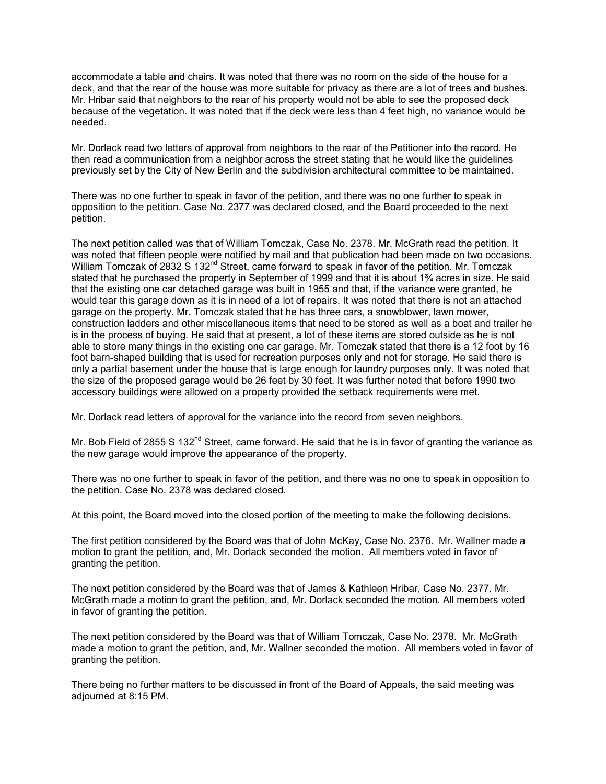accommodate a table and chairs. It was noted that there was no room on the side of the house for a deck, and that the rear of the house was more suitable for privacy as there are a lot of trees and bushes. Mr. Hribar said that neighbors to the rear of his property would not be able to see the proposed deck because of the vegetation. It was noted that if the deck were less than 4 feet high, no variance would be needed.

Mr. Dorlack read two letters of approval from neighbors to the rear of the Petitioner into the record. He then read a communication from a neighbor across the street stating that he would like the guidelines previously set by the City of New Berlin and the subdivision architectural committee to be maintained.

There was no one further to speak in favor of the petition, and there was no one further to speak in opposition to the petition. Case No. 2377 was declared closed, and the Board proceeded to the next petition.

The next petition called was that of William Tomczak, Case No. 2378. Mr. McGrath read the petition. It was noted that fifteen people were notified by mail and that publication had been made on two occasions. William Tomczak of 2832 S 132<sup>nd</sup> Street, came forward to speak in favor of the petition. Mr. Tomczak stated that he purchased the property in September of 1999 and that it is about 1<sup>3</sup>/4 acres in size. He said that the existing one car detached garage was built in 1955 and that, if the variance were granted, he would tear this garage down as it is in need of a lot of repairs. It was noted that there is not an attached garage on the property. Mr. Tomczak stated that he has three cars, a snowblower, lawn mower, construction ladders and other miscellaneous items that need to be stored as well as a boat and trailer he is in the process of buying. He said that at present, a lot of these items are stored outside as he is not able to store many things in the existing one car garage. Mr. Tomczak stated that there is a 12 foot by 16 foot barn-shaped building that is used for recreation purposes only and not for storage. He said there is only a partial basement under the house that is large enough for laundry purposes only. It was noted that the size of the proposed garage would be 26 feet by 30 feet. It was further noted that before 1990 two accessory buildings were allowed on a property provided the setback requirements were met.

Mr. Dorlack read letters of approval for the variance into the record from seven neighbors.

Mr. Bob Field of 2855 S 132<sup>nd</sup> Street, came forward. He said that he is in favor of granting the variance as the new garage would improve the appearance of the property.

There was no one further to speak in favor of the petition, and there was no one to speak in opposition to the petition. Case No. 2378 was declared closed.

At this point, the Board moved into the closed portion of the meeting to make the following decisions.

The first petition considered by the Board was that of John McKay, Case No. 2376. Mr. Wallner made a motion to grant the petition, and, Mr. Dorlack seconded the motion. All members voted in favor of granting the petition.

The next petition considered by the Board was that of James & Kathleen Hribar, Case No. 2377. Mr. McGrath made a motion to grant the petition, and, Mr. Dorlack seconded the motion. All members voted in favor of granting the petition.

The next petition considered by the Board was that of William Tomczak, Case No. 2378. Mr. McGrath made a motion to grant the petition, and, Mr. Wallner seconded the motion. All members voted in favor of granting the petition.

There being no further matters to be discussed in front of the Board of Appeals, the said meeting was adjourned at 8:15 PM.